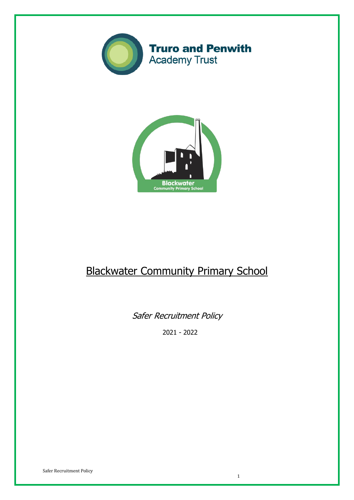



# Blackwater Community Primary School

Safer Recruitment Policy

2021 - 2022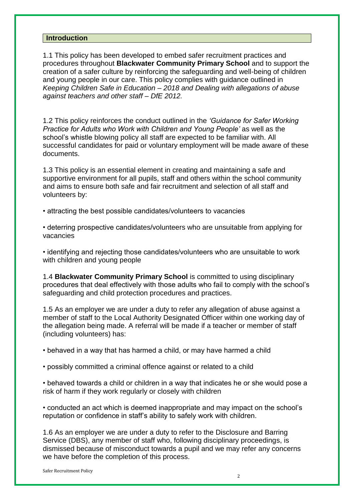#### **Introduction**

1.1 This policy has been developed to embed safer recruitment practices and procedures throughout **Blackwater Community Primary School** and to support the creation of a safer culture by reinforcing the safeguarding and well-being of children and young people in our care. This policy complies with guidance outlined in *Keeping Children Safe in Education – 2018 and Dealing with allegations of abuse against teachers and other staff – DfE 2012.*

1.2 This policy reinforces the conduct outlined in the *'Guidance for Safer Working Practice for Adults who Work with Children and Young People'* as well as the school's whistle blowing policy all staff are expected to be familiar with. All successful candidates for paid or voluntary employment will be made aware of these documents.

1.3 This policy is an essential element in creating and maintaining a safe and supportive environment for all pupils, staff and others within the school community and aims to ensure both safe and fair recruitment and selection of all staff and volunteers by:

• attracting the best possible candidates/volunteers to vacancies

• deterring prospective candidates/volunteers who are unsuitable from applying for vacancies

• identifying and rejecting those candidates/volunteers who are unsuitable to work with children and young people

1.4 **Blackwater Community Primary School** is committed to using disciplinary procedures that deal effectively with those adults who fail to comply with the school's safeguarding and child protection procedures and practices.

1.5 As an employer we are under a duty to refer any allegation of abuse against a member of staff to the Local Authority Designated Officer within one working day of the allegation being made. A referral will be made if a teacher or member of staff (including volunteers) has:

• behaved in a way that has harmed a child, or may have harmed a child

• possibly committed a criminal offence against or related to a child

• behaved towards a child or children in a way that indicates he or she would pose a risk of harm if they work regularly or closely with children

• conducted an act which is deemed inappropriate and may impact on the school's reputation or confidence in staff's ability to safely work with children.

1.6 As an employer we are under a duty to refer to the Disclosure and Barring Service (DBS), any member of staff who, following disciplinary proceedings, is dismissed because of misconduct towards a pupil and we may refer any concerns we have before the completion of this process.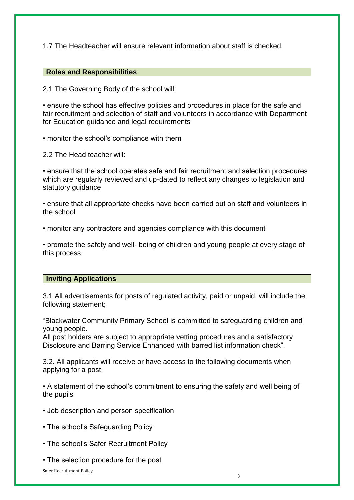1.7 The Headteacher will ensure relevant information about staff is checked.

#### **Roles and Responsibilities**

2.1 The Governing Body of the school will:

• ensure the school has effective policies and procedures in place for the safe and fair recruitment and selection of staff and volunteers in accordance with Department for Education guidance and legal requirements

• monitor the school's compliance with them

2.2 The Head teacher will:

• ensure that the school operates safe and fair recruitment and selection procedures which are regularly reviewed and up-dated to reflect any changes to legislation and statutory quidance

• ensure that all appropriate checks have been carried out on staff and volunteers in the school

• monitor any contractors and agencies compliance with this document

• promote the safety and well- being of children and young people at every stage of this process

## **Inviting Applications**

3.1 All advertisements for posts of regulated activity, paid or unpaid, will include the following statement;

"Blackwater Community Primary School is committed to safeguarding children and young people.

All post holders are subject to appropriate vetting procedures and a satisfactory Disclosure and Barring Service Enhanced with barred list information check".

3.2. All applicants will receive or have access to the following documents when applying for a post:

• A statement of the school's commitment to ensuring the safety and well being of the pupils

- Job description and person specification
- The school's Safeguarding Policy
- The school's Safer Recruitment Policy
- The selection procedure for the post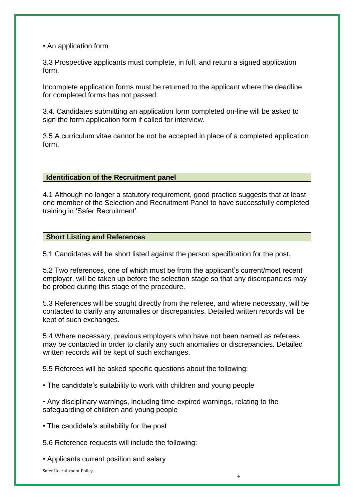• An application form

3.3 Prospective applicants must complete, in full, and return a signed application form.

Incomplete application forms must be returned to the applicant where the deadline for completed forms has not passed.

3.4. Candidates submitting an application form completed on-line will be asked to sign the form application form if called for interview.

3.5 A curriculum vitae cannot be not be accepted in place of a completed application form.

## **Identification of the Recruitment panel**

4.1 Although no longer a statutory requirement, good practice suggests that at least one member of the Selection and Recruitment Panel to have successfully completed training in 'Safer Recruitment'.

## **Short Listing and References**

5.1 Candidates will be short listed against the person specification for the post.

5.2 Two references, one of which must be from the applicant's current/most recent employer, will be taken up before the selection stage so that any discrepancies may be probed during this stage of the procedure.

5.3 References will be sought directly from the referee, and where necessary, will be contacted to clarify any anomalies or discrepancies. Detailed written records will be kept of such exchanges.

5.4 Where necessary, previous employers who have not been named as referees may be contacted in order to clarify any such anomalies or discrepancies. Detailed written records will be kept of such exchanges.

5.5 Referees will be asked specific questions about the following:

• The candidate's suitability to work with children and young people

• Any disciplinary warnings, including time-expired warnings, relating to the safeguarding of children and young people

• The candidate's suitability for the post

5.6 Reference requests will include the following:

• Applicants current position and salary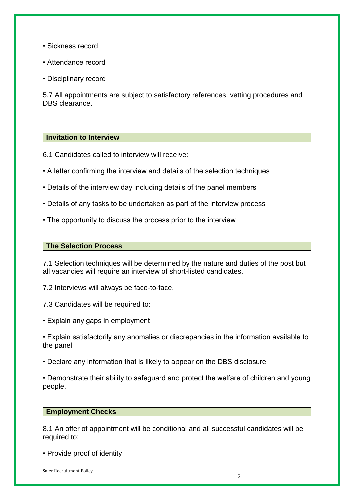- Sickness record
- Attendance record
- Disciplinary record

5.7 All appointments are subject to satisfactory references, vetting procedures and DBS clearance.

#### **Invitation to Interview**

6.1 Candidates called to interview will receive:

- A letter confirming the interview and details of the selection techniques
- Details of the interview day including details of the panel members
- Details of any tasks to be undertaken as part of the interview process
- The opportunity to discuss the process prior to the interview

#### **The Selection Process**

7.1 Selection techniques will be determined by the nature and duties of the post but all vacancies will require an interview of short-listed candidates.

7.2 Interviews will always be face-to-face.

- 7.3 Candidates will be required to:
- Explain any gaps in employment
- Explain satisfactorily any anomalies or discrepancies in the information available to the panel
- Declare any information that is likely to appear on the DBS disclosure

• Demonstrate their ability to safeguard and protect the welfare of children and young people.

#### **Employment Checks**

8.1 An offer of appointment will be conditional and all successful candidates will be required to:

• Provide proof of identity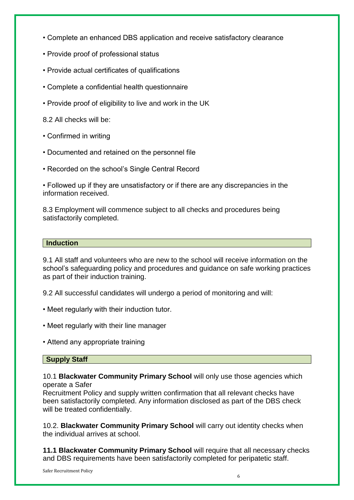- Complete an enhanced DBS application and receive satisfactory clearance
- Provide proof of professional status
- Provide actual certificates of qualifications
- Complete a confidential health questionnaire
- Provide proof of eligibility to live and work in the UK

8.2 All checks will be:

- Confirmed in writing
- Documented and retained on the personnel file
- Recorded on the school's Single Central Record

• Followed up if they are unsatisfactory or if there are any discrepancies in the information received.

8.3 Employment will commence subject to all checks and procedures being satisfactorily completed.

## **Induction**

9.1 All staff and volunteers who are new to the school will receive information on the school's safeguarding policy and procedures and guidance on safe working practices as part of their induction training.

9.2 All successful candidates will undergo a period of monitoring and will:

- Meet regularly with their induction tutor.
- Meet regularly with their line manager
- Attend any appropriate training

## **Supply Staff**

10.1 **Blackwater Community Primary School** will only use those agencies which operate a Safer

Recruitment Policy and supply written confirmation that all relevant checks have been satisfactorily completed. Any information disclosed as part of the DBS check will be treated confidentially.

10.2. **Blackwater Community Primary School** will carry out identity checks when the individual arrives at school.

**11.1 Blackwater Community Primary School** will require that all necessary checks and DBS requirements have been satisfactorily completed for peripatetic staff.